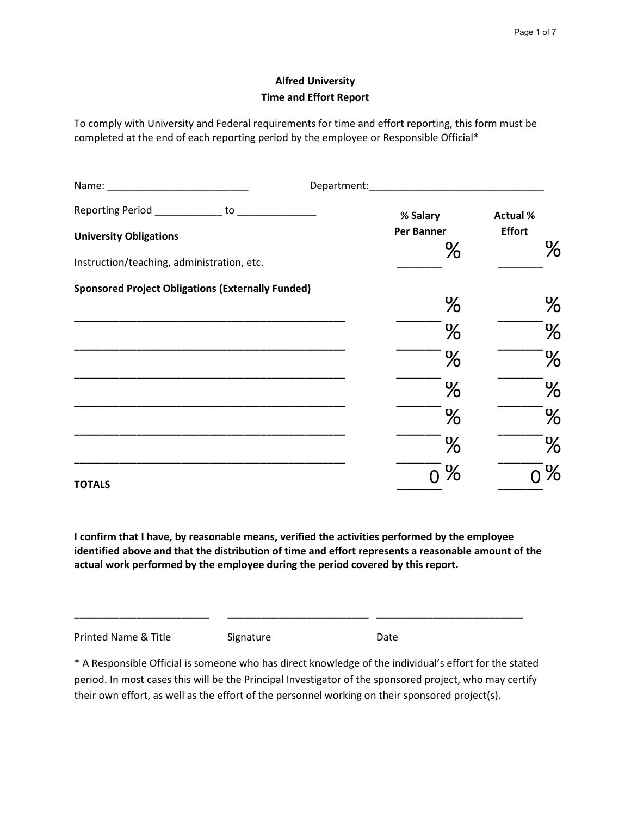# **Alfred University Time and Effort Report**

 To comply with University and Federal requirements for time and effort reporting, this form must be completed at the end of each reporting period by the employee or Responsible Official\*

|                                                          | Department: Department: |                      |
|----------------------------------------------------------|-------------------------|----------------------|
| Reporting Period _____________ to _______________        | % Salary                | <b>Actual %</b>      |
| <b>University Obligations</b>                            | Per Banner              | <b>Effort</b>        |
| Instruction/teaching, administration, etc.               | $\frac{8}{6}$           | <u>န</u>             |
| <b>Sponsored Project Obligations (Externally Funded)</b> |                         |                      |
|                                                          | $\frac{8}{6}$           | $\frac{6}{\sqrt{2}}$ |
|                                                          | $\frac{8}{\sqrt{2}}$    | $\frac{8}{\sigma}$   |
|                                                          | $\frac{8}{6}$           | $\frac{8}{\sigma}$   |
|                                                          | $\frac{8}{6}$           | <u>န</u>             |
|                                                          | $\frac{8}{6}$           | $\frac{8}{\sigma}$   |
|                                                          | $\frac{8}{6}$           | <u>န</u>             |
| <b>TOTALS</b>                                            | ႜၟ                      | $\infty$             |

**I confirm that I have, by reasonable means, verified the activities performed by the employee identified above and that the distribution of time and effort represents a reasonable amount of the actual work performed by the employee during the period covered by this report.** 

Printed Name & Title **Signature** Signature **Signature** Date

 \* A Responsible Official is someone who has direct knowledge of the individual's effort for the stated period. In most cases this will be the Principal Investigator of the sponsored project, who may certify their own effort, as well as the effort of the personnel working on their sponsored project(s).

**\_\_\_\_\_\_\_\_\_\_\_\_\_\_\_\_\_\_\_\_\_\_\_\_ \_\_\_\_\_\_\_\_\_\_\_\_\_\_\_\_\_\_\_\_\_\_\_\_\_ \_\_\_\_\_\_\_\_\_\_\_\_\_\_\_\_\_\_\_\_\_\_\_\_\_\_**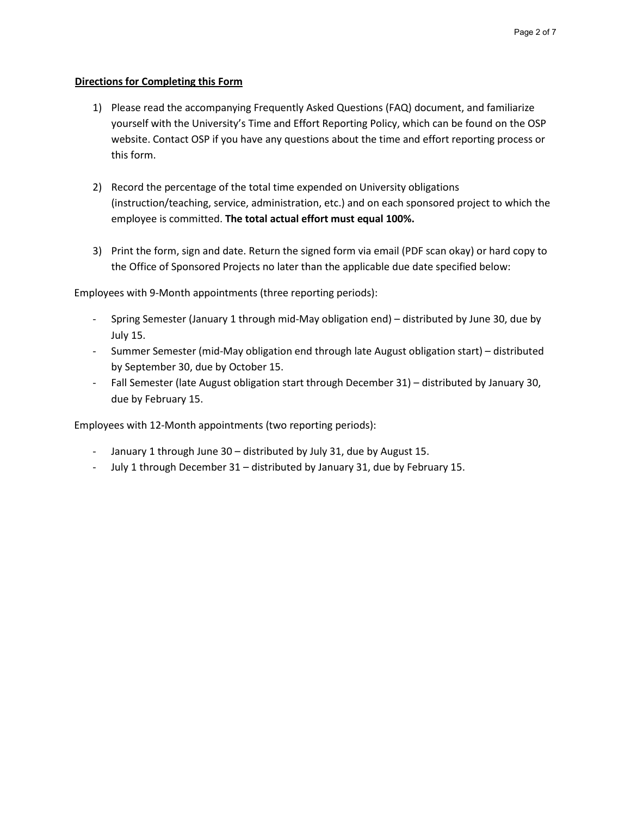#### <sup>U</sup>**Directions for Completing this Form**

- 1) Please read the accompanying Frequently Asked Questions (FAQ) document, and familiarize yourself with the University's Time and Effort Reporting Policy, which can be found on the OSP website. Contact OSP if you have any questions about the time and effort reporting process or this form.
- 2) Record the percentage of the total time expended on University obligations (instruction/teaching, service, administration, etc.) and on each sponsored project to which the employee is committed. **The total actual effort must equal 100%.**
- 3) Print the form, sign and date. Return the signed form via email (PDF scan okay) or hard copy to the Office of Sponsored Projects no later than the applicable due date specified below:

Employees with 9-Month appointments (three reporting periods):

- - Spring Semester (January 1 through mid-May obligation end) distributed by June 30, due by July 15.
- Summer Semester (mid-May obligation end through late August obligation start) distributed by September 30, due by October 15.
- - Fall Semester (late August obligation start through December 31) distributed by January 30, due by February 15.

Employees with 12-Month appointments (two reporting periods):

- January 1 through June 30 distributed by July 31, due by August 15.
- July 1 through December 31 distributed by January 31, due by February 15.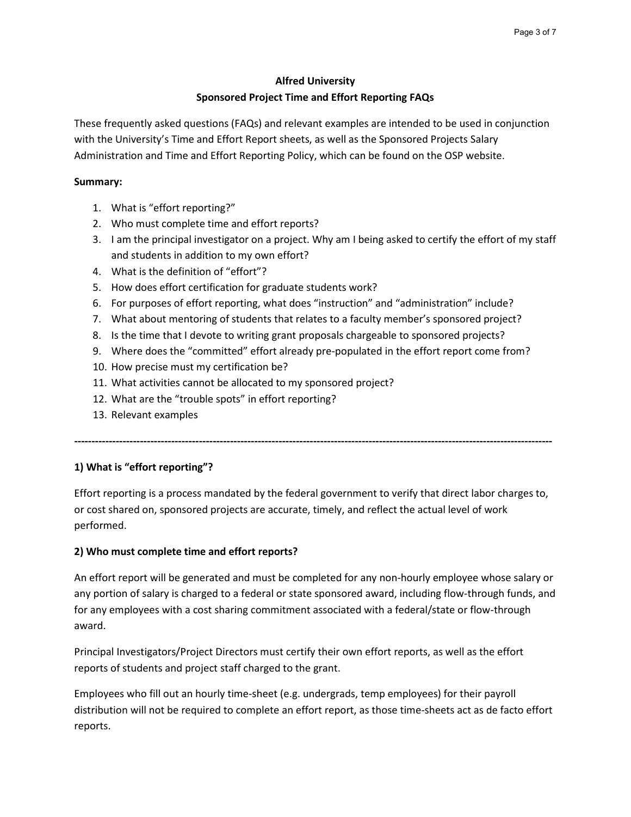#### **Alfred University**

### **Sponsored Project Time and Effort Reporting FAQs**

 These frequently asked questions (FAQs) and relevant examples are intended to be used in conjunction Administration and Time and Effort Reporting Policy, which can be found on the OSP website. with the University's Time and Effort Report sheets, as well as the Sponsored Projects Salary

### **Summary:**

- 1. What is "effort reporting?"
- 2. Who must complete time and effort reports?
- 3. I am the principal investigator on a project. Why am I being asked to certify the effort of my staff and students in addition to my own effort?
- 4. What is the definition of "effort"?
- 5. How does effort certification for graduate students work?
- 6. For purposes of effort reporting, what does "instruction" and "administration" include?
- 7. What about mentoring of students that relates to a faculty member's sponsored project?
- 8. Is the time that I devote to writing grant proposals chargeable to sponsored projects?
- 9. Where does the "committed" effort already pre-populated in the effort report come from?
- 10. How precise must my certification be?
- 11. What activities cannot be allocated to my sponsored project?
- 12. What are the "trouble spots" in effort reporting?
- 13. Relevant examples

**------------------------------------------------------------------------------------------------------------------------------------------**

# **1) What is "effort reporting"?**

 Effort reporting is a process mandated by the federal government to verify that direct labor charges to, or cost shared on, sponsored projects are accurate, timely, and reflect the actual level of work performed.

# **2) Who must complete time and effort reports?**

 any portion of salary is charged to a federal or state sponsored award, including flow-through funds, and An effort report will be generated and must be completed for any non-hourly employee whose salary or for any employees with a cost sharing commitment associated with a federal/state or flow-through award.

Principal Investigators/Project Directors must certify their own effort reports, as well as the effort reports of students and project staff charged to the grant.

 distribution will not be required to complete an effort report, as those time-sheets act as de facto effort Employees who fill out an hourly time-sheet (e.g. undergrads, temp employees) for their payroll reports.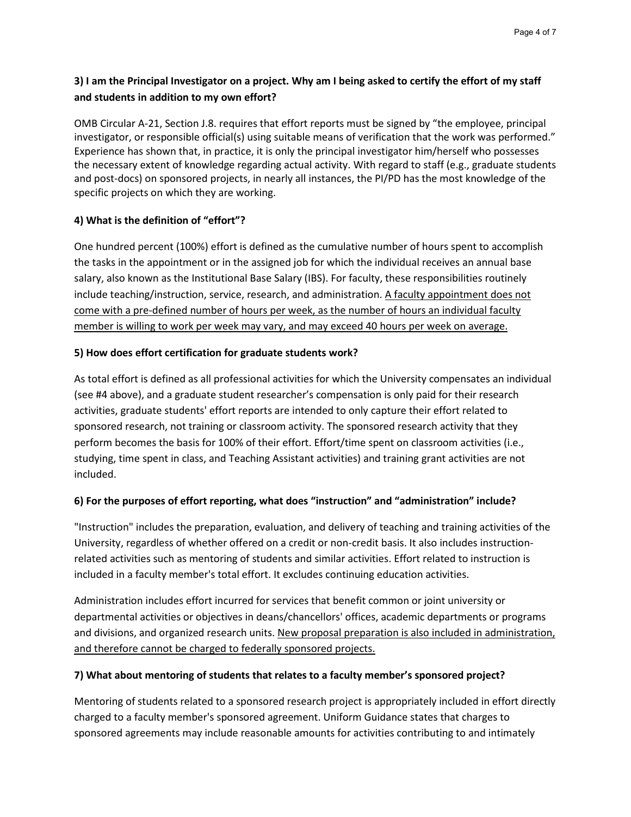# **3) I am the Principal Investigator on a project. Why am I being asked to certify the effort of my staff and students in addition to my own effort?**

 and post-docs) on sponsored projects, in nearly all instances, the PI/PD has the most knowledge of the specific projects on which they are working. OMB Circular A-21, Section J.8. requires that effort reports must be signed by "the employee, principal investigator, or responsible official(s) using suitable means of verification that the work was performed." Experience has shown that, in practice, it is only the principal investigator him/herself who possesses the necessary extent of knowledge regarding actual activity. With regard to staff (e.g., graduate students

# **4) What is the definition of "effort"?**

 salary, also known as the Institutional Base Salary (IBS). For faculty, these responsibilities routinely come with a pre-defined number of hours per week, as the number of hours an individual faculty member is willing to work per week may vary, and may exceed 40 hours per week on average. One hundred percent (100%) effort is defined as the cumulative number of hours spent to accomplish the tasks in the appointment or in the assigned job for which the individual receives an annual base include teaching/instruction, service, research, and administration. A faculty appointment does not

### **5) How does effort certification for graduate students work?**

As total effort is defined as all professional activities for which the University compensates an individual (see #4 above), and a graduate student researcher's compensation is only paid for their research activities, graduate students' effort reports are intended to only capture their effort related to sponsored research, not training or classroom activity. The sponsored research activity that they perform becomes the basis for 100% of their effort. Effort/time spent on classroom activities (i.e., studying, time spent in class, and Teaching Assistant activities) and training grant activities are not included.

#### **6) For the purposes of effort reporting, what does "instruction" and "administration" include?**

 "Instruction" includes the preparation, evaluation, and delivery of teaching and training activities of the related activities such as mentoring of students and similar activities. Effort related to instruction is University, regardless of whether offered on a credit or non-credit basis. It also includes instructionincluded in a faculty member's total effort. It excludes continuing education activities.

 departmental activities or objectives in deans/chancellors' offices, academic departments or programs Administration includes effort incurred for services that benefit common or joint university or and divisions, and organized research units. New proposal preparation is also included in administration, and therefore cannot be charged to federally sponsored projects.

### **7) What about mentoring of students that relates to a faculty member's sponsored project?**

 charged to a faculty member's sponsored agreement. Uniform Guidance states that charges to Mentoring of students related to a sponsored research project is appropriately included in effort directly sponsored agreements may include reasonable amounts for activities contributing to and intimately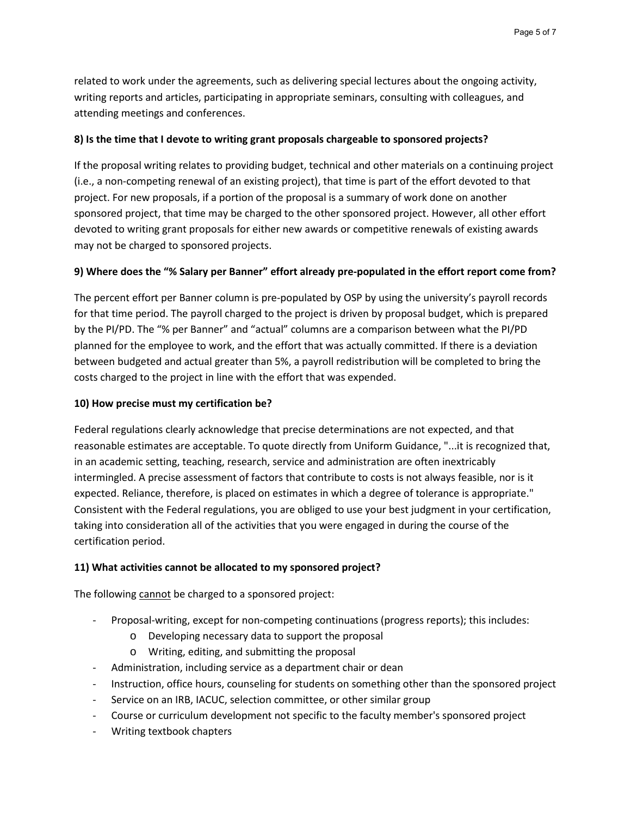related to work under the agreements, such as delivering special lectures about the ongoing activity, writing reports and articles, participating in appropriate seminars, consulting with colleagues, and attending meetings and conferences.

### **8) Is the time that I devote to writing grant proposals chargeable to sponsored projects?**

If the proposal writing relates to providing budget, technical and other materials on a continuing project (i.e., a non-competing renewal of an existing project), that time is part of the effort devoted to that project. For new proposals, if a portion of the proposal is a summary of work done on another sponsored project, that time may be charged to the other sponsored project. However, all other effort devoted to writing grant proposals for either new awards or competitive renewals of existing awards may not be charged to sponsored projects.

### **9) Where does the "% Salary per Banner" effort already pre-populated in the effort report come from?**

 by the PI/PD. The "% per Banner" and "actual" columns are a comparison between what the PI/PD planned for the employee to work, and the effort that was actually committed. If there is a deviation between budgeted and actual greater than 5%, a payroll redistribution will be completed to bring the  costs charged to the project in line with the effort that was expended. The percent effort per Banner column is pre-populated by OSP by using the university's payroll records for that time period. The payroll charged to the project is driven by proposal budget, which is prepared

### **10) How precise must my certification be?**

 taking into consideration all of the activities that you were engaged in during the course of the Federal regulations clearly acknowledge that precise determinations are not expected, and that reasonable estimates are acceptable. To quote directly from Uniform Guidance, "...it is recognized that, in an academic setting, teaching, research, service and administration are often inextricably intermingled. A precise assessment of factors that contribute to costs is not always feasible, nor is it expected. Reliance, therefore, is placed on estimates in which a degree of tolerance is appropriate." Consistent with the Federal regulations, you are obliged to use your best judgment in your certification, certification period.

### **11) What activities cannot be allocated to my sponsored project?**

The following cannot be charged to a sponsored project:

- Proposal-writing, except for non-competing continuations (progress reports); this includes:
	- o Developing necessary data to support the proposal
	- o Writing, editing, and submitting the proposal
- Administration, including service as a department chair or dean
- Instruction, office hours, counseling for students on something other than the sponsored project
- Service on an IRB, IACUC, selection committee, or other similar group
- Course or curriculum development not specific to the faculty member's sponsored project
- Writing textbook chapters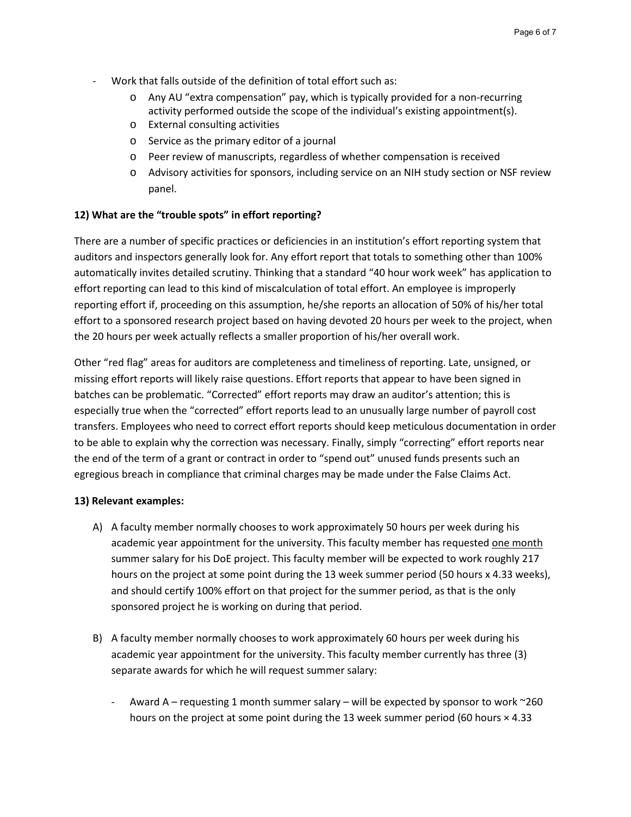- - Work that falls outside of the definition of total effort such as:
	- o Any AU "extra compensation" pay, which is typically provided for a non-recurring activity performed outside the scope of the individual's existing appointment(s).
	- o External consulting activities
	- o Service as the primary editor of a journal
	- o Peer review of manuscripts, regardless of whether compensation is received
	- o Advisory activities for sponsors, including service on an NIH study section or NSF review panel.

#### **12) What are the "trouble spots" in effort reporting?**

 auditors and inspectors generally look for. Any effort report that totals to something other than 100% effort to a sponsored research project based on having devoted 20 hours per week to the project, when the 20 hours per week actually reflects a smaller proportion of his/her overall work. There are a number of specific practices or deficiencies in an institution's effort reporting system that automatically invites detailed scrutiny. Thinking that a standard "40 hour work week" has application to effort reporting can lead to this kind of miscalculation of total effort. An employee is improperly reporting effort if, proceeding on this assumption, he/she reports an allocation of 50% of his/her total

 missing effort reports will likely raise questions. Effort reports that appear to have been signed in especially true when the "corrected" effort reports lead to an unusually large number of payroll cost transfers. Employees who need to correct effort reports should keep meticulous documentation in order to be able to explain why the correction was necessary. Finally, simply "correcting" effort reports near the end of the term of a grant or contract in order to "spend out" unused funds presents such an egregious breach in compliance that criminal charges may be made under the False Claims Act. Other "red flag" areas for auditors are completeness and timeliness of reporting. Late, unsigned, or batches can be problematic. "Corrected" effort reports may draw an auditor's attention; this is

#### **13) Relevant examples:**

- summer salary for his DoE project. This faculty member will be expected to work roughly 217 hours on the project at some point during the 13 week summer period (50 hours x 4.33 weeks), and should certify 100% effort on that project for the summer period, as that is the only A) A faculty member normally chooses to work approximately 50 hours per week during his academic year appointment for the university. This faculty member has requested one month sponsored project he is working on during that period.
- academic year appointment for the university. This faculty member currently has three (3) B) A faculty member normally chooses to work approximately 60 hours per week during his separate awards for which he will request summer salary:
	- Award A requesting 1 month summer salary will be expected by sponsor to work ~260 hours on the project at some point during the 13 week summer period (60 hours  $\times$  4.33